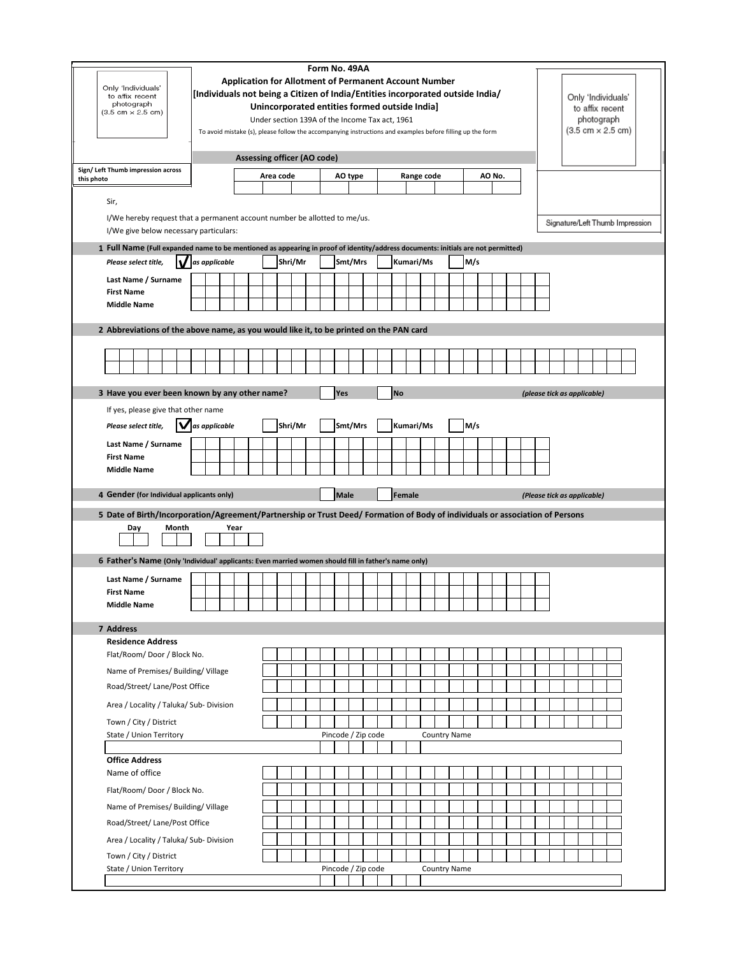| Only 'Individuals'<br>to affix recent<br>photograph<br>$(3.5 \text{ cm} \times 2.5 \text{ cm})$<br>Sign/ Left Thumb impression across<br>this photo<br>Sir,<br>I/We give below necessary particulars: |                                      | Form No. 49AA<br><b>Application for Allotment of Permanent Account Number</b><br>[Individuals not being a Citizen of India/Entities incorporated outside India/<br>Unincorporated entities formed outside India]<br>Under section 139A of the Income Tax act, 1961<br>To avoid mistake (s), please follow the accompanying instructions and examples before filling up the form<br><b>Assessing officer (AO code)</b><br>Area code<br>Range code<br>AO No.<br>AO type<br>I/We hereby request that a permanent account number be allotted to me/us.<br>1 Full Name (Full expanded name to be mentioned as appearing in proof of identity/address documents: initials are not permitted) |  |  |         |  |  |             |                    |                    |           |           | Only 'Individuals'<br>to affix recent<br>photograph<br>$(3.5 \text{ cm} \times 2.5 \text{ cm})$<br>Signature/Left Thumb Impression |  |     |  |  |                             |  |  |
|-------------------------------------------------------------------------------------------------------------------------------------------------------------------------------------------------------|--------------------------------------|----------------------------------------------------------------------------------------------------------------------------------------------------------------------------------------------------------------------------------------------------------------------------------------------------------------------------------------------------------------------------------------------------------------------------------------------------------------------------------------------------------------------------------------------------------------------------------------------------------------------------------------------------------------------------------------|--|--|---------|--|--|-------------|--------------------|--------------------|-----------|-----------|------------------------------------------------------------------------------------------------------------------------------------|--|-----|--|--|-----------------------------|--|--|
| Please select title,                                                                                                                                                                                  | $\mathsf{\mathcal{V}}$ as applicable |                                                                                                                                                                                                                                                                                                                                                                                                                                                                                                                                                                                                                                                                                        |  |  | Shri/Mr |  |  |             | Smt/Mrs            |                    |           | Kumari/Ms |                                                                                                                                    |  | M/s |  |  |                             |  |  |
| Last Name / Surname<br><b>First Name</b>                                                                                                                                                              |                                      |                                                                                                                                                                                                                                                                                                                                                                                                                                                                                                                                                                                                                                                                                        |  |  |         |  |  |             |                    |                    |           |           |                                                                                                                                    |  |     |  |  |                             |  |  |
| <b>Middle Name</b>                                                                                                                                                                                    |                                      |                                                                                                                                                                                                                                                                                                                                                                                                                                                                                                                                                                                                                                                                                        |  |  |         |  |  |             |                    |                    |           |           |                                                                                                                                    |  |     |  |  |                             |  |  |
| 2 Abbreviations of the above name, as you would like it, to be printed on the PAN card                                                                                                                |                                      |                                                                                                                                                                                                                                                                                                                                                                                                                                                                                                                                                                                                                                                                                        |  |  |         |  |  |             |                    |                    |           |           |                                                                                                                                    |  |     |  |  |                             |  |  |
|                                                                                                                                                                                                       |                                      |                                                                                                                                                                                                                                                                                                                                                                                                                                                                                                                                                                                                                                                                                        |  |  |         |  |  |             |                    |                    | <b>No</b> |           |                                                                                                                                    |  |     |  |  |                             |  |  |
| 3 Have you ever been known by any other name?<br>If yes, please give that other name<br>Please select title,                                                                                          | as applicable                        |                                                                                                                                                                                                                                                                                                                                                                                                                                                                                                                                                                                                                                                                                        |  |  | Shri/Mr |  |  | Yes         | Smt/Mrs            |                    |           | Kumari/Ms |                                                                                                                                    |  | M/s |  |  | (please tick as applicable) |  |  |
| Last Name / Surname                                                                                                                                                                                   |                                      |                                                                                                                                                                                                                                                                                                                                                                                                                                                                                                                                                                                                                                                                                        |  |  |         |  |  |             |                    |                    |           |           |                                                                                                                                    |  |     |  |  |                             |  |  |
| <b>First Name</b>                                                                                                                                                                                     |                                      |                                                                                                                                                                                                                                                                                                                                                                                                                                                                                                                                                                                                                                                                                        |  |  |         |  |  |             |                    |                    |           |           |                                                                                                                                    |  |     |  |  |                             |  |  |
| <b>Middle Name</b>                                                                                                                                                                                    |                                      |                                                                                                                                                                                                                                                                                                                                                                                                                                                                                                                                                                                                                                                                                        |  |  |         |  |  |             |                    |                    |           |           |                                                                                                                                    |  |     |  |  |                             |  |  |
| 4 Gender (for Individual applicants only)                                                                                                                                                             |                                      |                                                                                                                                                                                                                                                                                                                                                                                                                                                                                                                                                                                                                                                                                        |  |  |         |  |  | <b>Male</b> |                    |                    |           | Female    |                                                                                                                                    |  |     |  |  | (Please tick as applicable) |  |  |
| 5 Date of Birth/Incorporation/Agreement/Partnership or Trust Deed/ Formation of Body of individuals or association of Persons<br>Day<br>Month                                                         |                                      | Year                                                                                                                                                                                                                                                                                                                                                                                                                                                                                                                                                                                                                                                                                   |  |  |         |  |  |             |                    |                    |           |           |                                                                                                                                    |  |     |  |  |                             |  |  |
| 6 Father's Name (Only 'Individual' applicants: Even married women should fill in father's name only)                                                                                                  |                                      |                                                                                                                                                                                                                                                                                                                                                                                                                                                                                                                                                                                                                                                                                        |  |  |         |  |  |             |                    |                    |           |           |                                                                                                                                    |  |     |  |  |                             |  |  |
| Last Name / Surname                                                                                                                                                                                   |                                      |                                                                                                                                                                                                                                                                                                                                                                                                                                                                                                                                                                                                                                                                                        |  |  |         |  |  |             |                    |                    |           |           |                                                                                                                                    |  |     |  |  |                             |  |  |
| <b>First Name</b><br><b>Middle Name</b>                                                                                                                                                               |                                      |                                                                                                                                                                                                                                                                                                                                                                                                                                                                                                                                                                                                                                                                                        |  |  |         |  |  |             |                    |                    |           |           |                                                                                                                                    |  |     |  |  |                             |  |  |
| 7 Address                                                                                                                                                                                             |                                      |                                                                                                                                                                                                                                                                                                                                                                                                                                                                                                                                                                                                                                                                                        |  |  |         |  |  |             |                    |                    |           |           |                                                                                                                                    |  |     |  |  |                             |  |  |
| <b>Residence Address</b>                                                                                                                                                                              |                                      |                                                                                                                                                                                                                                                                                                                                                                                                                                                                                                                                                                                                                                                                                        |  |  |         |  |  |             |                    |                    |           |           |                                                                                                                                    |  |     |  |  |                             |  |  |
| Flat/Room/Door/Block No.                                                                                                                                                                              |                                      |                                                                                                                                                                                                                                                                                                                                                                                                                                                                                                                                                                                                                                                                                        |  |  |         |  |  |             |                    |                    |           |           |                                                                                                                                    |  |     |  |  |                             |  |  |
| Name of Premises/ Building/ Village                                                                                                                                                                   |                                      |                                                                                                                                                                                                                                                                                                                                                                                                                                                                                                                                                                                                                                                                                        |  |  |         |  |  |             |                    |                    |           |           |                                                                                                                                    |  |     |  |  |                             |  |  |
| Road/Street/ Lane/Post Office                                                                                                                                                                         |                                      |                                                                                                                                                                                                                                                                                                                                                                                                                                                                                                                                                                                                                                                                                        |  |  |         |  |  |             |                    |                    |           |           |                                                                                                                                    |  |     |  |  |                             |  |  |
| Area / Locality / Taluka/ Sub- Division                                                                                                                                                               |                                      |                                                                                                                                                                                                                                                                                                                                                                                                                                                                                                                                                                                                                                                                                        |  |  |         |  |  |             |                    |                    |           |           |                                                                                                                                    |  |     |  |  |                             |  |  |
| Town / City / District                                                                                                                                                                                |                                      |                                                                                                                                                                                                                                                                                                                                                                                                                                                                                                                                                                                                                                                                                        |  |  |         |  |  |             |                    |                    |           |           |                                                                                                                                    |  |     |  |  |                             |  |  |
| State / Union Territory                                                                                                                                                                               |                                      |                                                                                                                                                                                                                                                                                                                                                                                                                                                                                                                                                                                                                                                                                        |  |  |         |  |  |             | Pincode / Zip code |                    |           |           | <b>Country Name</b>                                                                                                                |  |     |  |  |                             |  |  |
| <b>Office Address</b>                                                                                                                                                                                 |                                      |                                                                                                                                                                                                                                                                                                                                                                                                                                                                                                                                                                                                                                                                                        |  |  |         |  |  |             |                    |                    |           |           |                                                                                                                                    |  |     |  |  |                             |  |  |
| Name of office                                                                                                                                                                                        |                                      |                                                                                                                                                                                                                                                                                                                                                                                                                                                                                                                                                                                                                                                                                        |  |  |         |  |  |             |                    |                    |           |           |                                                                                                                                    |  |     |  |  |                             |  |  |
| Flat/Room/Door/Block No.                                                                                                                                                                              |                                      |                                                                                                                                                                                                                                                                                                                                                                                                                                                                                                                                                                                                                                                                                        |  |  |         |  |  |             |                    |                    |           |           |                                                                                                                                    |  |     |  |  |                             |  |  |
| Name of Premises/ Building/ Village                                                                                                                                                                   |                                      |                                                                                                                                                                                                                                                                                                                                                                                                                                                                                                                                                                                                                                                                                        |  |  |         |  |  |             |                    |                    |           |           |                                                                                                                                    |  |     |  |  |                             |  |  |
| Road/Street/ Lane/Post Office                                                                                                                                                                         |                                      |                                                                                                                                                                                                                                                                                                                                                                                                                                                                                                                                                                                                                                                                                        |  |  |         |  |  |             |                    |                    |           |           |                                                                                                                                    |  |     |  |  |                             |  |  |
| Area / Locality / Taluka/ Sub- Division                                                                                                                                                               |                                      |                                                                                                                                                                                                                                                                                                                                                                                                                                                                                                                                                                                                                                                                                        |  |  |         |  |  |             |                    |                    |           |           |                                                                                                                                    |  |     |  |  |                             |  |  |
| Town / City / District                                                                                                                                                                                |                                      |                                                                                                                                                                                                                                                                                                                                                                                                                                                                                                                                                                                                                                                                                        |  |  |         |  |  |             |                    |                    |           |           |                                                                                                                                    |  |     |  |  |                             |  |  |
| State / Union Territory                                                                                                                                                                               |                                      |                                                                                                                                                                                                                                                                                                                                                                                                                                                                                                                                                                                                                                                                                        |  |  |         |  |  |             |                    | Pincode / Zip code |           |           | <b>Country Name</b>                                                                                                                |  |     |  |  |                             |  |  |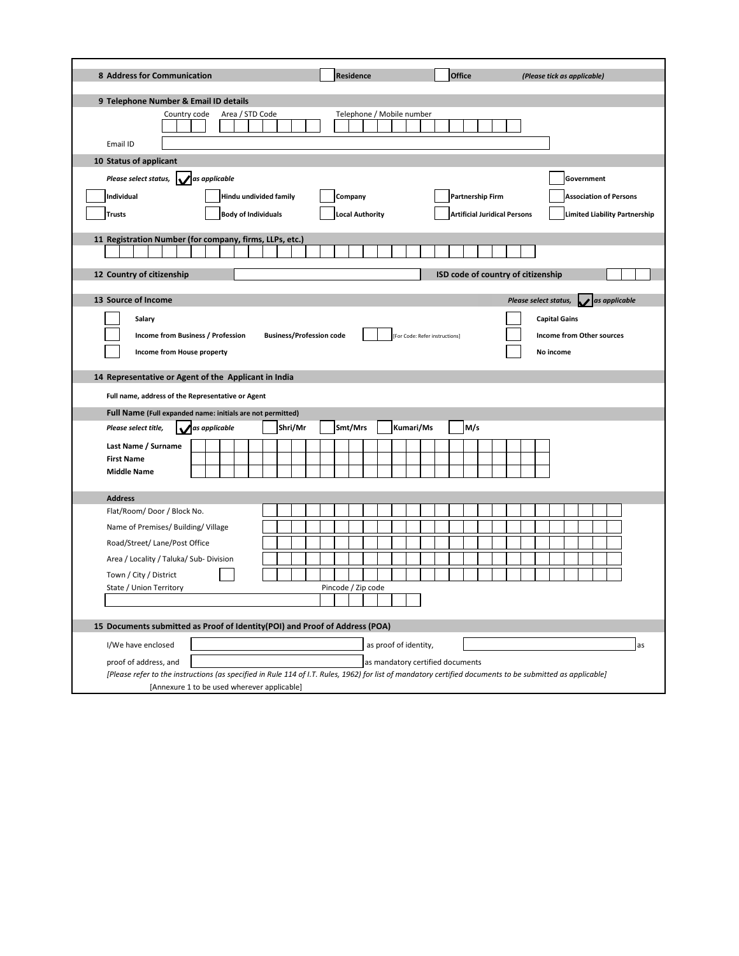| 8 Address for Communication                                                                                                                                                                                                                                                                                                                                                               | <b>Residence</b>                                          | <b>Office</b>                                           | (Please tick as applicable)                                                                                     |
|-------------------------------------------------------------------------------------------------------------------------------------------------------------------------------------------------------------------------------------------------------------------------------------------------------------------------------------------------------------------------------------------|-----------------------------------------------------------|---------------------------------------------------------|-----------------------------------------------------------------------------------------------------------------|
| 9 Telephone Number & Email ID details                                                                                                                                                                                                                                                                                                                                                     |                                                           |                                                         |                                                                                                                 |
| Country code<br>Area / STD Code<br>Email ID                                                                                                                                                                                                                                                                                                                                               | Telephone / Mobile number                                 |                                                         |                                                                                                                 |
| 10 Status of applicant                                                                                                                                                                                                                                                                                                                                                                    |                                                           |                                                         |                                                                                                                 |
| as applicable<br>Please select status,<br>Individual<br>Hindu undivided family<br><b>Body of Individuals</b><br><b>Trusts</b>                                                                                                                                                                                                                                                             | Company<br><b>Local Authority</b>                         | Partnership Firm<br><b>Artificial Juridical Persons</b> | Government<br><b>Association of Persons</b><br><b>Limited Liability Partnership</b>                             |
| 11 Registration Number (for company, firms, LLPs, etc.)                                                                                                                                                                                                                                                                                                                                   |                                                           |                                                         |                                                                                                                 |
|                                                                                                                                                                                                                                                                                                                                                                                           |                                                           |                                                         |                                                                                                                 |
| 12 Country of citizenship                                                                                                                                                                                                                                                                                                                                                                 |                                                           | ISD code of country of citizenship                      |                                                                                                                 |
|                                                                                                                                                                                                                                                                                                                                                                                           |                                                           |                                                         |                                                                                                                 |
| 13 Source of Income<br>Salary<br>Income from Business / Profession<br><b>Business/Profession code</b><br>Income from House property<br>14 Representative or Agent of the Applicant in India<br>Full name, address of the Representative or Agent<br>Full Name (Full expanded name: initials are not permitted)<br>Please select title,<br>as applicable<br>Shri/Mr<br>Last Name / Surname | Smt/Mrs<br>Kumari/Ms                                      | [For Code: Refer instructions]<br>M/s                   | as applicable<br>Please select status,<br><b>Capital Gains</b><br><b>Income from Other sources</b><br>No income |
| <b>First Name</b><br><b>Middle Name</b>                                                                                                                                                                                                                                                                                                                                                   |                                                           |                                                         |                                                                                                                 |
| <b>Address</b>                                                                                                                                                                                                                                                                                                                                                                            |                                                           |                                                         |                                                                                                                 |
| Flat/Room/Door/Block No.<br>Name of Premises/ Building/ Village<br>Road/Street/ Lane/Post Office<br>Area / Locality / Taluka/ Sub- Division<br>Town / City / District<br>State / Union Territory                                                                                                                                                                                          | Pincode / Zip code                                        |                                                         |                                                                                                                 |
| 15 Documents submitted as Proof of Identity(POI) and Proof of Address (POA)                                                                                                                                                                                                                                                                                                               |                                                           |                                                         |                                                                                                                 |
| I/We have enclosed<br>proof of address, and                                                                                                                                                                                                                                                                                                                                               | as proof of identity,<br>as mandatory certified documents |                                                         | as                                                                                                              |
| [Please refer to the instructions (as specified in Rule 114 of I.T. Rules, 1962) for list of mandatory certified documents to be submitted as applicable]<br>[Annexure 1 to be used wherever applicable]                                                                                                                                                                                  |                                                           |                                                         |                                                                                                                 |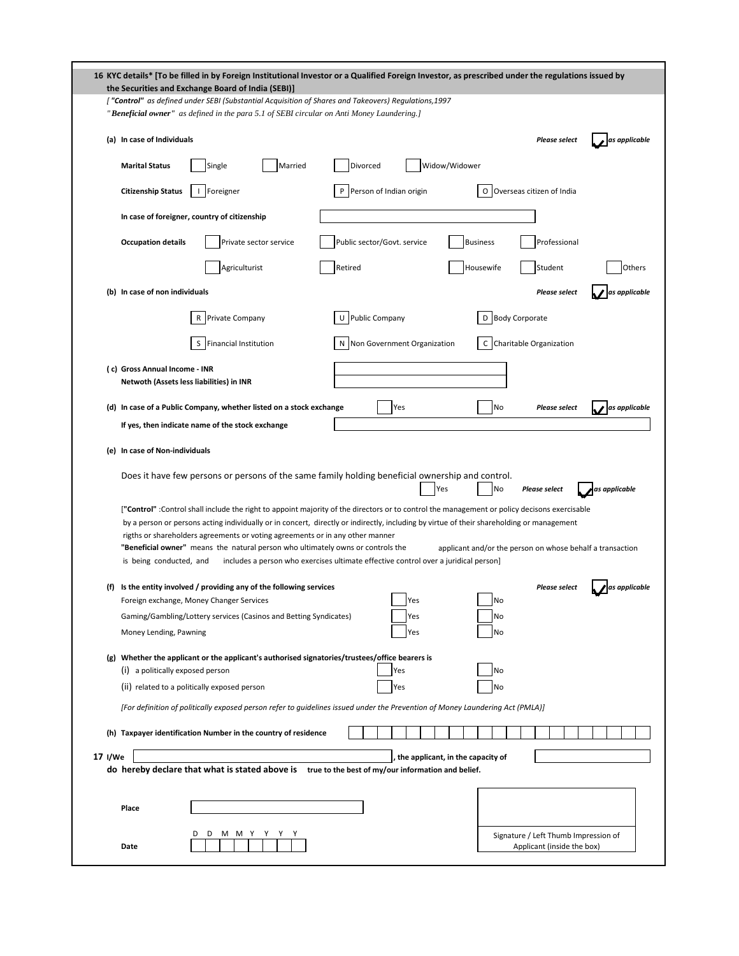|         | 16 KYC details* [To be filled in by Foreign Institutional Investor or a Qualified Foreign Investor, as prescribed under the regulations issued by<br>the Securities and Exchange Board of India (SEBI)]                                                                                                                                                                                                                                                      |                                                                    |
|---------|--------------------------------------------------------------------------------------------------------------------------------------------------------------------------------------------------------------------------------------------------------------------------------------------------------------------------------------------------------------------------------------------------------------------------------------------------------------|--------------------------------------------------------------------|
|         | ["Control" as defined under SEBI (Substantial Acquisition of Shares and Takeovers) Regulations, 1997<br>"Beneficial owner" as defined in the para 5.1 of SEBI circular on Anti Money Laundering.]                                                                                                                                                                                                                                                            |                                                                    |
|         | (a) In case of Individuals                                                                                                                                                                                                                                                                                                                                                                                                                                   | <b>Please select</b><br>as applicable                              |
|         | Married<br>Divorced<br>Single<br><b>Marital Status</b>                                                                                                                                                                                                                                                                                                                                                                                                       | Widow/Widower                                                      |
|         | Person of Indian origin<br>Foreigner<br><b>Citizenship Status</b>                                                                                                                                                                                                                                                                                                                                                                                            | Overseas citizen of India<br>О                                     |
|         | In case of foreigner, country of citizenship                                                                                                                                                                                                                                                                                                                                                                                                                 |                                                                    |
|         | Public sector/Govt. service<br>Private sector service<br><b>Occupation details</b>                                                                                                                                                                                                                                                                                                                                                                           | <b>Business</b><br>Professional                                    |
|         | Agriculturist<br>Retired                                                                                                                                                                                                                                                                                                                                                                                                                                     | Housewife<br>Student<br>Others                                     |
|         | (b) In case of non individuals                                                                                                                                                                                                                                                                                                                                                                                                                               | as applicable<br><b>Please select</b>                              |
|         | <b>Public Company</b><br>Private Company<br>R<br>U                                                                                                                                                                                                                                                                                                                                                                                                           | <b>Body Corporate</b><br>D                                         |
|         | N Non Government Organization<br>S<br><b>Financial Institution</b>                                                                                                                                                                                                                                                                                                                                                                                           | Charitable Organization<br>с                                       |
|         | (c) Gross Annual Income - INR                                                                                                                                                                                                                                                                                                                                                                                                                                |                                                                    |
|         | Netwoth (Assets less liabilities) in INR                                                                                                                                                                                                                                                                                                                                                                                                                     |                                                                    |
|         | (d) In case of a Public Company, whether listed on a stock exchange<br>Yes<br>If yes, then indicate name of the stock exchange                                                                                                                                                                                                                                                                                                                               | No<br>as applicable<br><b>Please select</b>                        |
|         | (e) In case of Non-individuals                                                                                                                                                                                                                                                                                                                                                                                                                               |                                                                    |
|         | Does it have few persons or persons of the same family holding beneficial ownership and control.<br>Yes                                                                                                                                                                                                                                                                                                                                                      | as applicable<br>No<br><b>Please select</b>                        |
|         | ["Control":Control shall include the right to appoint majority of the directors or to control the management or policy decisons exercisable<br>by a person or persons acting individually or in concert, directly or indirectly, including by virtue of their shareholding or management<br>rigths or shareholders agreements or voting agreements or in any other manner<br>"Beneficial owner" means the natural person who ultimately owns or controls the | applicant and/or the person on whose behalf a transaction          |
|         | includes a person who exercises ultimate effective control over a juridical person]<br>is being conducted, and                                                                                                                                                                                                                                                                                                                                               |                                                                    |
|         | (f) Is the entity involved / providing any of the following services<br>Foreign exchange, Money Changer Services<br>Yes                                                                                                                                                                                                                                                                                                                                      | <b>Please select</b><br>as applicable<br>No                        |
|         | Gaming/Gambling/Lottery services (Casinos and Betting Syndicates)<br>Yes<br>Money Lending, Pawning<br>Yes                                                                                                                                                                                                                                                                                                                                                    | No<br>No                                                           |
|         | (g) Whether the applicant or the applicant's authorised signatories/trustees/office bearers is                                                                                                                                                                                                                                                                                                                                                               |                                                                    |
|         | (i) a politically exposed person<br>Yes<br>(ii) related to a politically exposed person<br>Yes                                                                                                                                                                                                                                                                                                                                                               | No<br>No                                                           |
|         | [For definition of politically exposed person refer to quidelines issued under the Prevention of Money Laundering Act (PMLA)]                                                                                                                                                                                                                                                                                                                                |                                                                    |
|         | (h) Taxpayer identification Number in the country of residence                                                                                                                                                                                                                                                                                                                                                                                               |                                                                    |
| 17 I/We | do hereby declare that what is stated above is true to the best of my/our information and belief.                                                                                                                                                                                                                                                                                                                                                            | the applicant, in the capacity of                                  |
|         |                                                                                                                                                                                                                                                                                                                                                                                                                                                              |                                                                    |
|         | Place                                                                                                                                                                                                                                                                                                                                                                                                                                                        |                                                                    |
|         | D<br>D<br>м<br>MY<br>Y<br>Date                                                                                                                                                                                                                                                                                                                                                                                                                               | Signature / Left Thumb Impression of<br>Applicant (inside the box) |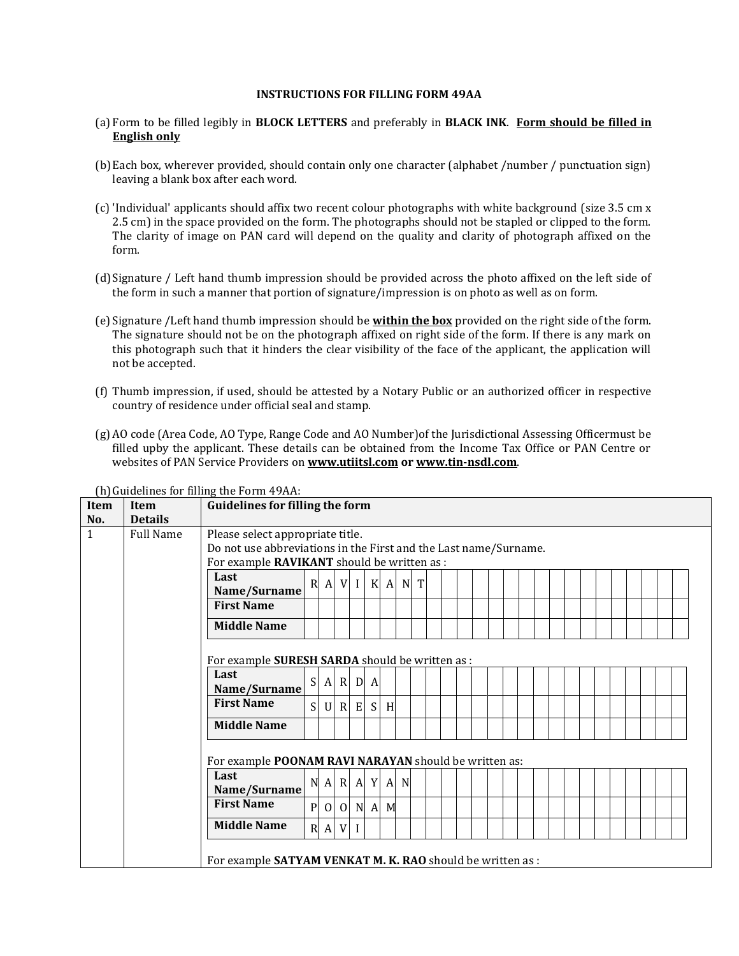## **INSTRUCTIONS FOR FILLING FORM 49AA**

- (a) Form to be filled legibly in **BLOCK LETTERS** and preferably in **BLACK INK**. **Form should be filled in English only**
- (b)Each box, wherever provided, should contain only one character (alphabet /number / punctuation sign) leaving a blank box after each word.
- (c) 'Individual' applicants should affix two recent colour photographs with white background (size 3.5 cm x 2.5 cm) in the space provided on the form. The photographs should not be stapled or clipped to the form. The clarity of image on PAN card will depend on the quality and clarity of photograph affixed on the form.
- (d)Signature / Left hand thumb impression should be provided across the photo affixed on the left side of the form in such a manner that portion of signature/impression is on photo as well as on form.
- (e) Signature /Left hand thumb impression should be **within the box** provided on the right side of the form. The signature should not be on the photograph affixed on right side of the form. If there is any mark on this photograph such that it hinders the clear visibility of the face of the applicant, the application will not be accepted.
- (f) Thumb impression, if used, should be attested by a Notary Public or an authorized officer in respective country of residence under official seal and stamp.
- (g) AO code (Area Code, AO Type, Range Code and AO Number)of the Jurisdictional Assessing Officermust be filled upby the applicant. These details can be obtained from the Income Tax Office or PAN Centre or websites of PAN Service Providers on **[www.utiitsl.com](http://www.utiitsl.com/) or [www.tin-nsdl.com](http://www.tin-nsdl.com/)**.

| <b>Item</b>  | <b>Item</b>      | <b>Guidelines for filling the form</b>                                                       |                                                                     |                    |        |              |                   |              |             |   |  |  |  |  |  |  |  |  |  |  |  |
|--------------|------------------|----------------------------------------------------------------------------------------------|---------------------------------------------------------------------|--------------------|--------|--------------|-------------------|--------------|-------------|---|--|--|--|--|--|--|--|--|--|--|--|
| No.          | <b>Details</b>   |                                                                                              |                                                                     |                    |        |              |                   |              |             |   |  |  |  |  |  |  |  |  |  |  |  |
| $\mathbf{1}$ | <b>Full Name</b> | Please select appropriate title.                                                             |                                                                     |                    |        |              |                   |              |             |   |  |  |  |  |  |  |  |  |  |  |  |
|              |                  |                                                                                              | Do not use abbreviations in the First and the Last name/Surname.    |                    |        |              |                   |              |             |   |  |  |  |  |  |  |  |  |  |  |  |
|              |                  | For example RAVIKANT should be written as :                                                  |                                                                     |                    |        |              |                   |              |             |   |  |  |  |  |  |  |  |  |  |  |  |
|              |                  | Last                                                                                         |                                                                     |                    |        |              |                   |              |             | T |  |  |  |  |  |  |  |  |  |  |  |
|              |                  | Name/Surname                                                                                 | V<br>$K$ A<br>N<br>$\mathbb{R}$<br>$\mathbf{I}$<br>$\boldsymbol{A}$ |                    |        |              |                   |              |             |   |  |  |  |  |  |  |  |  |  |  |  |
|              |                  | <b>First Name</b>                                                                            |                                                                     |                    |        |              |                   |              |             |   |  |  |  |  |  |  |  |  |  |  |  |
|              |                  | <b>Middle Name</b>                                                                           |                                                                     |                    |        |              |                   |              |             |   |  |  |  |  |  |  |  |  |  |  |  |
|              |                  | For example SURESH SARDA should be written as :<br>Last<br>Name/Surname<br><b>First Name</b> | S<br>S                                                              | $\mathbf{A}$<br> J | R<br>R | D<br>E       | $\mathbf{A}$<br>S | H            |             |   |  |  |  |  |  |  |  |  |  |  |  |
|              |                  | <b>Middle Name</b><br>For example POONAM RAVI NARAYAN should be written as:<br>Last          | N                                                                   | $\mathbf{A}$       |        | $R \mid A$   | Y                 | $\mathbf{A}$ | $\mathbf N$ |   |  |  |  |  |  |  |  |  |  |  |  |
|              |                  | Name/Surname                                                                                 |                                                                     |                    |        |              |                   |              |             |   |  |  |  |  |  |  |  |  |  |  |  |
|              |                  | <b>First Name</b>                                                                            | $\mathbf{P}$                                                        | $\Omega$           | 0      |              | N A M             |              |             |   |  |  |  |  |  |  |  |  |  |  |  |
|              |                  | <b>Middle Name</b>                                                                           | R                                                                   | A                  | V      | $\mathbf{I}$ |                   |              |             |   |  |  |  |  |  |  |  |  |  |  |  |
|              |                  | For example SATYAM VENKAT M. K. RAO should be written as :                                   |                                                                     |                    |        |              |                   |              |             |   |  |  |  |  |  |  |  |  |  |  |  |

(h) Guidelines for filling the Form 49AA: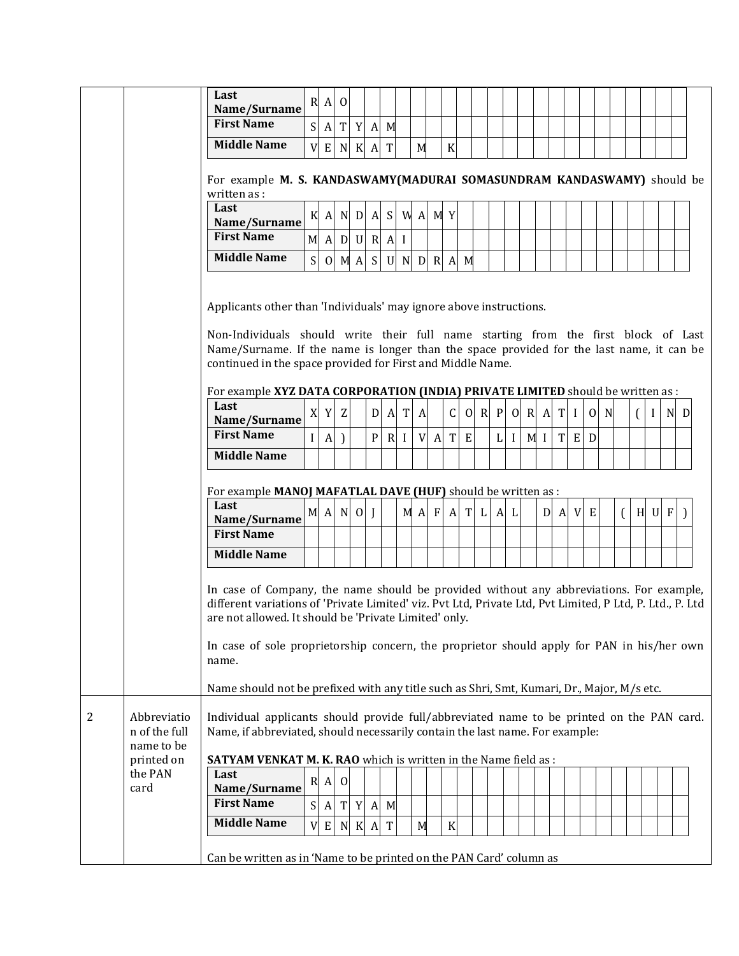|   |                                                          | Last<br>Name/Surname                                                                                                                                                                                                                                                                                                                                                                                                                                              | $\mathbf R$  | $\mathbf{A}$     | $\overline{0}$ |   |                                        |              |                 |   |              |                  |                   |       |              |              |                |       |              |          |             |          |              |     |  |
|---|----------------------------------------------------------|-------------------------------------------------------------------------------------------------------------------------------------------------------------------------------------------------------------------------------------------------------------------------------------------------------------------------------------------------------------------------------------------------------------------------------------------------------------------|--------------|------------------|----------------|---|----------------------------------------|--------------|-----------------|---|--------------|------------------|-------------------|-------|--------------|--------------|----------------|-------|--------------|----------|-------------|----------|--------------|-----|--|
|   |                                                          | <b>First Name</b>                                                                                                                                                                                                                                                                                                                                                                                                                                                 | S            |                  | $A$ T          |   | $Y$ A M                                |              |                 |   |              |                  |                   |       |              |              |                |       |              |          |             |          |              |     |  |
|   |                                                          | <b>Middle Name</b>                                                                                                                                                                                                                                                                                                                                                                                                                                                | V            |                  |                |   |                                        | T            |                 |   |              |                  |                   |       |              |              |                |       |              |          |             |          |              |     |  |
|   |                                                          |                                                                                                                                                                                                                                                                                                                                                                                                                                                                   |              |                  |                |   | $E$ N $K$ A                            |              |                 | M |              | $\boldsymbol{K}$ |                   |       |              |              |                |       |              |          |             |          |              |     |  |
|   |                                                          | For example M. S. KANDASWAMY(MADURAI SOMASUNDRAM KANDASWAMY) should be<br>written as:                                                                                                                                                                                                                                                                                                                                                                             |              |                  |                |   |                                        |              |                 |   |              |                  |                   |       |              |              |                |       |              |          |             |          |              |     |  |
|   |                                                          | Last                                                                                                                                                                                                                                                                                                                                                                                                                                                              | K            |                  |                |   | $A \cup D \cup A \cup S \cup A \cup A$ |              |                 |   |              |                  |                   |       |              |              |                |       |              |          |             |          |              |     |  |
|   |                                                          | Name/Surname                                                                                                                                                                                                                                                                                                                                                                                                                                                      |              |                  |                |   |                                        |              |                 |   |              |                  |                   |       |              |              |                |       |              |          |             |          |              |     |  |
|   |                                                          | <b>First Name</b>                                                                                                                                                                                                                                                                                                                                                                                                                                                 | M            |                  |                |   | $A$ D U R $A$ I                        |              |                 |   |              |                  |                   |       |              |              |                |       |              |          |             |          |              |     |  |
|   |                                                          | <b>Middle Name</b>                                                                                                                                                                                                                                                                                                                                                                                                                                                | S            |                  | $O$ $M$ $A$    |   |                                        |              | $S$ U N D R A M |   |              |                  |                   |       |              |              |                |       |              |          |             |          |              |     |  |
|   |                                                          | Applicants other than 'Individuals' may ignore above instructions.<br>Non-Individuals should write their full name starting from the first block of Last<br>Name/Surname. If the name is longer than the space provided for the last name, it can be<br>continued in the space provided for First and Middle Name.                                                                                                                                                |              |                  |                |   |                                        |              |                 |   |              |                  |                   |       |              |              |                |       |              |          |             |          |              |     |  |
|   |                                                          | For example XYZ DATA CORPORATION (INDIA) PRIVATE LIMITED should be written as :                                                                                                                                                                                                                                                                                                                                                                                   |              |                  |                |   |                                        |              |                 |   |              |                  |                   |       |              |              |                |       |              |          |             |          |              |     |  |
|   |                                                          | Last<br>Name/Surname                                                                                                                                                                                                                                                                                                                                                                                                                                              | X            | Y                | Z              |   | $\mathbf D$                            | $\mathbf{A}$ | T               | A |              | C                |                   | O R P |              | $\Omega$     | $R \, A$       | T     | $\mathbf{I}$ | $\Omega$ | $\mathbf N$ |          | $\mathbf{I}$ | N D |  |
|   |                                                          | <b>First Name</b>                                                                                                                                                                                                                                                                                                                                                                                                                                                 | $\rm I$      | $\boldsymbol{A}$ | $\lambda$      |   | $\mathbf{P}$                           |              | R I             | V | $\mathbf{A}$ | $\mathbf T$      | E                 |       | $\mathbf{L}$ | $\mathbf{I}$ | M <sub>I</sub> | T     |              | E D      |             |          |              |     |  |
|   |                                                          | <b>Middle Name</b>                                                                                                                                                                                                                                                                                                                                                                                                                                                |              |                  |                |   |                                        |              |                 |   |              |                  |                   |       |              |              |                |       |              |          |             |          |              |     |  |
|   |                                                          | For example MANOJ MAFATLAL DAVE (HUF) should be written as :<br>Last<br>Name/Surname<br><b>First Name</b>                                                                                                                                                                                                                                                                                                                                                         |              |                  |                |   | M A N 0 J                              |              |                 |   |              |                  | $M$ A F A T L A L |       |              |              |                | D A V |              | E        |             | $\left($ | H U F        |     |  |
|   |                                                          | <b>Middle Name</b>                                                                                                                                                                                                                                                                                                                                                                                                                                                |              |                  |                |   |                                        |              |                 |   |              |                  |                   |       |              |              |                |       |              |          |             |          |              |     |  |
|   |                                                          | In case of Company, the name should be provided without any abbreviations. For example,<br>different variations of 'Private Limited' viz. Pvt Ltd, Private Ltd, Pvt Limited, P Ltd, P. Ltd., P. Ltd<br>are not allowed. It should be 'Private Limited' only.<br>In case of sole proprietorship concern, the proprietor should apply for PAN in his/her own<br>name.<br>Name should not be prefixed with any title such as Shri, Smt, Kumari, Dr., Major, M/s etc. |              |                  |                |   |                                        |              |                 |   |              |                  |                   |       |              |              |                |       |              |          |             |          |              |     |  |
| 2 | Abbreviatio<br>n of the full<br>name to be<br>printed on | Individual applicants should provide full/abbreviated name to be printed on the PAN card.<br>Name, if abbreviated, should necessarily contain the last name. For example:<br>SATYAM VENKAT M. K. RAO which is written in the Name field as :                                                                                                                                                                                                                      |              |                  |                |   |                                        |              |                 |   |              |                  |                   |       |              |              |                |       |              |          |             |          |              |     |  |
|   | the PAN                                                  | Last                                                                                                                                                                                                                                                                                                                                                                                                                                                              | $\mathbb{R}$ | A                | 0              |   |                                        |              |                 |   |              |                  |                   |       |              |              |                |       |              |          |             |          |              |     |  |
|   | card                                                     | Name/Surname<br><b>First Name</b>                                                                                                                                                                                                                                                                                                                                                                                                                                 |              |                  |                |   |                                        |              |                 |   |              |                  |                   |       |              |              |                |       |              |          |             |          |              |     |  |
|   |                                                          |                                                                                                                                                                                                                                                                                                                                                                                                                                                                   | S            | A                | T              | Y |                                        | $A \mid M$   |                 |   |              |                  |                   |       |              |              |                |       |              |          |             |          |              |     |  |
|   |                                                          | <b>Middle Name</b>                                                                                                                                                                                                                                                                                                                                                                                                                                                | V            | E                | N              |   | K A                                    | T            |                 | M |              | $\rm K$          |                   |       |              |              |                |       |              |          |             |          |              |     |  |
|   |                                                          |                                                                                                                                                                                                                                                                                                                                                                                                                                                                   |              |                  |                |   |                                        |              |                 |   |              |                  |                   |       |              |              |                |       |              |          |             |          |              |     |  |
|   |                                                          | Can be written as in 'Name to be printed on the PAN Card' column as                                                                                                                                                                                                                                                                                                                                                                                               |              |                  |                |   |                                        |              |                 |   |              |                  |                   |       |              |              |                |       |              |          |             |          |              |     |  |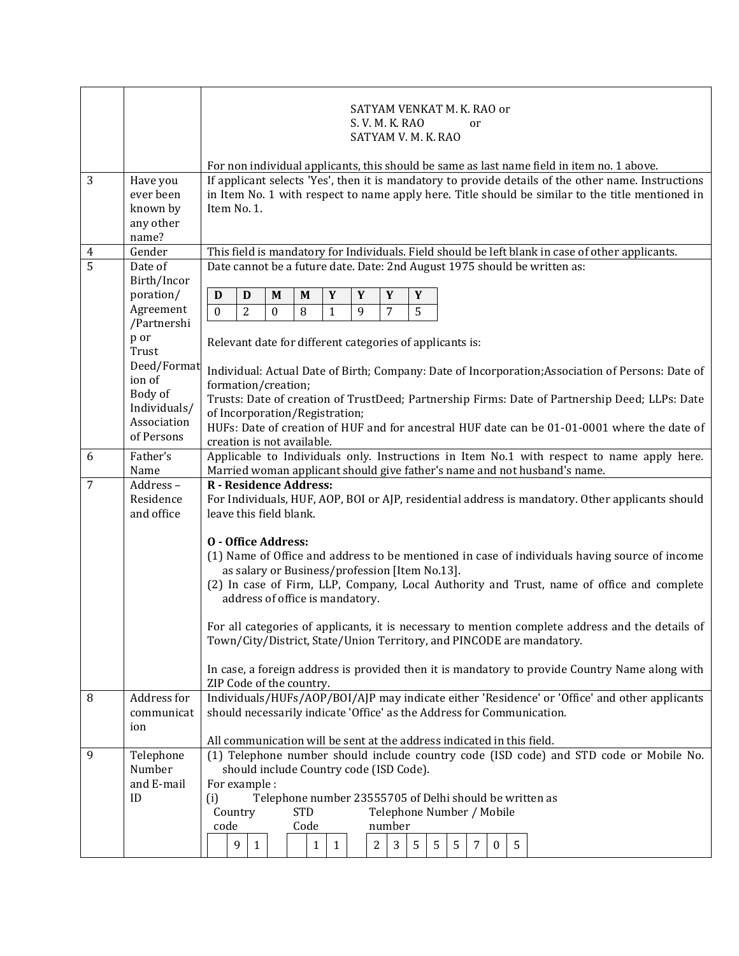|                |                         |                                                                        |                                                                                                  |          |              |              |                                         | S. V. M. K. RAO | SATYAM VENKAT M. K. RAO or                     |        | or |              |   |                                                                                                     |  |  |
|----------------|-------------------------|------------------------------------------------------------------------|--------------------------------------------------------------------------------------------------|----------|--------------|--------------|-----------------------------------------|-----------------|------------------------------------------------|--------|----|--------------|---|-----------------------------------------------------------------------------------------------------|--|--|
|                |                         |                                                                        |                                                                                                  |          |              |              |                                         |                 | SATYAM V. M. K. RAO                            |        |    |              |   |                                                                                                     |  |  |
|                |                         |                                                                        |                                                                                                  |          |              |              |                                         |                 |                                                |        |    |              |   | For non individual applicants, this should be same as last name field in item no. 1 above.          |  |  |
| 3              | Have you                |                                                                        |                                                                                                  |          |              |              |                                         |                 |                                                |        |    |              |   | If applicant selects 'Yes', then it is mandatory to provide details of the other name. Instructions |  |  |
|                | ever been               |                                                                        |                                                                                                  |          |              |              |                                         |                 |                                                |        |    |              |   | in Item No. 1 with respect to name apply here. Title should be similar to the title mentioned in    |  |  |
|                | known by<br>any other   | Item No. 1.                                                            |                                                                                                  |          |              |              |                                         |                 |                                                |        |    |              |   |                                                                                                     |  |  |
|                | name?                   |                                                                        |                                                                                                  |          |              |              |                                         |                 |                                                |        |    |              |   |                                                                                                     |  |  |
| $\overline{4}$ | Gender                  |                                                                        | This field is mandatory for Individuals. Field should be left blank in case of other applicants. |          |              |              |                                         |                 |                                                |        |    |              |   |                                                                                                     |  |  |
| 5              | Date of<br>Birth/Incor  |                                                                        | Date cannot be a future date. Date: 2nd August 1975 should be written as:                        |          |              |              |                                         |                 |                                                |        |    |              |   |                                                                                                     |  |  |
|                | poration/               | D<br>D                                                                 |                                                                                                  | M        | M            | Y            | Y                                       | Y               | $\mathbf Y$                                    |        |    |              |   |                                                                                                     |  |  |
|                | Agreement               | $\boldsymbol{0}$                                                       | 2                                                                                                | $\Omega$ | 8            | $\mathbf{1}$ | 9                                       | 7               | 5                                              |        |    |              |   |                                                                                                     |  |  |
|                | /Partnershi             |                                                                        |                                                                                                  |          |              |              |                                         |                 |                                                |        |    |              |   |                                                                                                     |  |  |
|                | p or<br>Trust           |                                                                        | Relevant date for different categories of applicants is:                                         |          |              |              |                                         |                 |                                                |        |    |              |   |                                                                                                     |  |  |
|                | Deed/Format             |                                                                        |                                                                                                  |          |              |              |                                         |                 |                                                |        |    |              |   | Individual: Actual Date of Birth; Company: Date of Incorporation; Association of Persons: Date of   |  |  |
|                | ion of                  | formation/creation;                                                    |                                                                                                  |          |              |              |                                         |                 |                                                |        |    |              |   |                                                                                                     |  |  |
|                | Body of<br>Individuals/ |                                                                        |                                                                                                  |          |              |              |                                         |                 |                                                |        |    |              |   | Trusts: Date of creation of TrustDeed; Partnership Firms: Date of Partnership Deed; LLPs: Date      |  |  |
|                | Association             | of Incorporation/Registration;                                         |                                                                                                  |          |              |              |                                         |                 |                                                |        |    |              |   |                                                                                                     |  |  |
|                | of Persons              | creation is not available.                                             |                                                                                                  |          |              |              |                                         |                 |                                                |        |    |              |   | HUFs: Date of creation of HUF and for ancestral HUF date can be 01-01-0001 where the date of        |  |  |
| 6              | Father's                |                                                                        |                                                                                                  |          |              |              |                                         |                 |                                                |        |    |              |   | Applicable to Individuals only. Instructions in Item No.1 with respect to name apply here.          |  |  |
|                | Name                    |                                                                        |                                                                                                  |          |              |              |                                         |                 |                                                |        |    |              |   | Married woman applicant should give father's name and not husband's name.                           |  |  |
| 7              | Address-<br>Residence   | R - Residence Address:                                                 |                                                                                                  |          |              |              |                                         |                 |                                                |        |    |              |   | For Individuals, HUF, AOP, BOI or AJP, residential address is mandatory. Other applicants should    |  |  |
|                | and office              | leave this field blank.                                                |                                                                                                  |          |              |              |                                         |                 |                                                |        |    |              |   |                                                                                                     |  |  |
|                |                         |                                                                        |                                                                                                  |          |              |              |                                         |                 |                                                |        |    |              |   |                                                                                                     |  |  |
|                |                         | <b>0 - Office Address:</b>                                             |                                                                                                  |          |              |              |                                         |                 |                                                |        |    |              |   | (1) Name of Office and address to be mentioned in case of individuals having source of income       |  |  |
|                |                         |                                                                        |                                                                                                  |          |              |              |                                         |                 | as salary or Business/profession [Item No.13]. |        |    |              |   |                                                                                                     |  |  |
|                |                         |                                                                        |                                                                                                  |          |              |              |                                         |                 |                                                |        |    |              |   | (2) In case of Firm, LLP, Company, Local Authority and Trust, name of office and complete           |  |  |
|                |                         |                                                                        |                                                                                                  |          |              |              | address of office is mandatory.         |                 |                                                |        |    |              |   |                                                                                                     |  |  |
|                |                         |                                                                        |                                                                                                  |          |              |              |                                         |                 |                                                |        |    |              |   | For all categories of applicants, it is necessary to mention complete address and the details of    |  |  |
|                |                         |                                                                        |                                                                                                  |          |              |              |                                         |                 |                                                |        |    |              |   | Town/City/District, State/Union Territory, and PINCODE are mandatory.                               |  |  |
|                |                         |                                                                        |                                                                                                  |          |              |              |                                         |                 |                                                |        |    |              |   | In case, a foreign address is provided then it is mandatory to provide Country Name along with      |  |  |
|                |                         | ZIP Code of the country.                                               |                                                                                                  |          |              |              |                                         |                 |                                                |        |    |              |   |                                                                                                     |  |  |
| 8              | Address for             |                                                                        |                                                                                                  |          |              |              |                                         |                 |                                                |        |    |              |   | Individuals/HUFs/AOP/BOI/AJP may indicate either 'Residence' or 'Office' and other applicants       |  |  |
|                | communicat<br>ion       |                                                                        |                                                                                                  |          |              |              |                                         |                 |                                                |        |    |              |   | should necessarily indicate 'Office' as the Address for Communication.                              |  |  |
|                |                         | All communication will be sent at the address indicated in this field. |                                                                                                  |          |              |              |                                         |                 |                                                |        |    |              |   |                                                                                                     |  |  |
| 9              | Telephone               |                                                                        |                                                                                                  |          |              |              |                                         |                 |                                                |        |    |              |   | (1) Telephone number should include country code (ISD code) and STD code or Mobile No.              |  |  |
|                | Number<br>and E-mail    |                                                                        |                                                                                                  |          |              |              | should include Country code (ISD Code). |                 |                                                |        |    |              |   |                                                                                                     |  |  |
|                | ID                      | (i)                                                                    | For example :<br>Telephone number 23555705 of Delhi should be written as                         |          |              |              |                                         |                 |                                                |        |    |              |   |                                                                                                     |  |  |
|                |                         | Country                                                                |                                                                                                  |          | <b>STD</b>   |              |                                         |                 | Telephone Number / Mobile                      |        |    |              |   |                                                                                                     |  |  |
|                |                         | code                                                                   |                                                                                                  |          | Code         |              |                                         | number          |                                                |        |    |              |   |                                                                                                     |  |  |
|                |                         | 9                                                                      | $\mathbf{1}$                                                                                     |          | $\mathbf{1}$ | $\mathbf{1}$ | $\overline{2}$                          | 3               | 5                                              | 5<br>5 | 7  | $\mathbf{0}$ | 5 |                                                                                                     |  |  |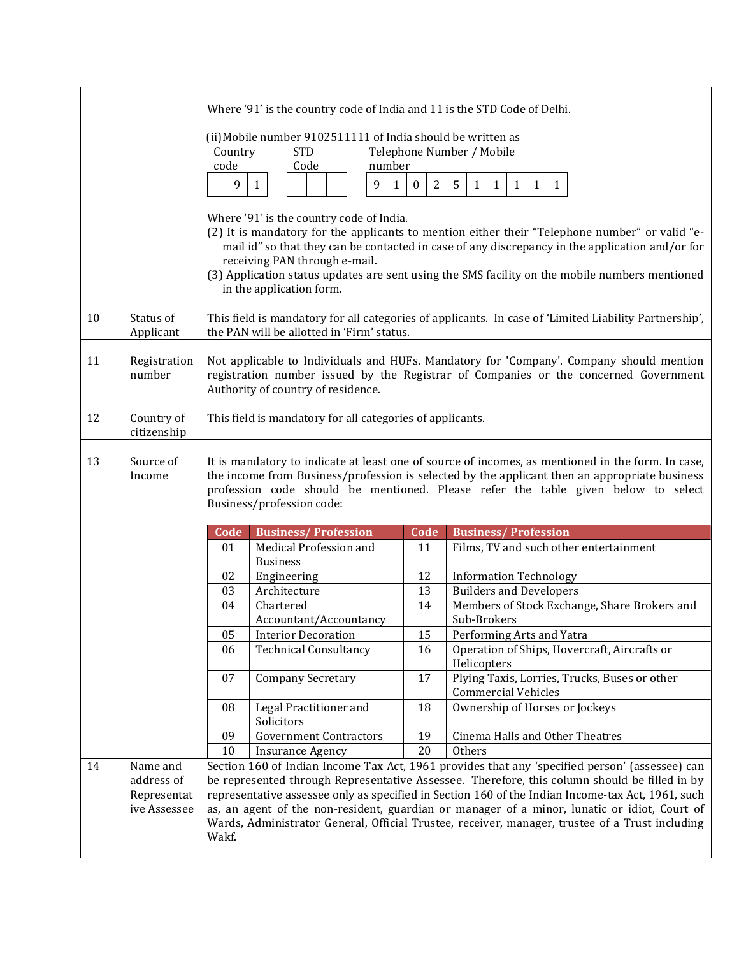|    |                        |         | Where '91' is the country code of India and 11 is the STD Code of Delhi. |                   |                                                                                                                                                                                                    |
|----|------------------------|---------|--------------------------------------------------------------------------|-------------------|----------------------------------------------------------------------------------------------------------------------------------------------------------------------------------------------------|
|    |                        |         |                                                                          |                   |                                                                                                                                                                                                    |
|    |                        |         | (ii) Mobile number 9102511111 of India should be written as              |                   |                                                                                                                                                                                                    |
|    |                        | Country | <b>STD</b>                                                               |                   | Telephone Number / Mobile                                                                                                                                                                          |
|    |                        | code    | Code<br>number                                                           |                   |                                                                                                                                                                                                    |
|    |                        | 9       | 9<br>$\mathbf{1}$<br>$\mathbf{1}$                                        | 2<br>$\mathbf{0}$ | 5<br>$\mathbf{1}$<br>1<br>$\mathbf{1}$<br>1<br>1                                                                                                                                                   |
|    |                        |         |                                                                          |                   |                                                                                                                                                                                                    |
|    |                        |         | Where '91' is the country code of India.                                 |                   |                                                                                                                                                                                                    |
|    |                        |         |                                                                          |                   | (2) It is mandatory for the applicants to mention either their "Telephone number" or valid "e-                                                                                                     |
|    |                        |         |                                                                          |                   | mail id" so that they can be contacted in case of any discrepancy in the application and/or for                                                                                                    |
|    |                        |         | receiving PAN through e-mail.                                            |                   |                                                                                                                                                                                                    |
|    |                        |         |                                                                          |                   | (3) Application status updates are sent using the SMS facility on the mobile numbers mentioned                                                                                                     |
|    |                        |         | in the application form.                                                 |                   |                                                                                                                                                                                                    |
| 10 | Status of              |         |                                                                          |                   | This field is mandatory for all categories of applicants. In case of 'Limited Liability Partnership',                                                                                              |
|    | Applicant              |         | the PAN will be allotted in 'Firm' status.                               |                   |                                                                                                                                                                                                    |
|    |                        |         |                                                                          |                   |                                                                                                                                                                                                    |
| 11 | Registration           |         |                                                                          |                   | Not applicable to Individuals and HUFs. Mandatory for 'Company'. Company should mention                                                                                                            |
|    | number                 |         |                                                                          |                   | registration number issued by the Registrar of Companies or the concerned Government                                                                                                               |
|    |                        |         | Authority of country of residence.                                       |                   |                                                                                                                                                                                                    |
|    |                        |         |                                                                          |                   |                                                                                                                                                                                                    |
| 12 | Country of             |         | This field is mandatory for all categories of applicants.                |                   |                                                                                                                                                                                                    |
|    | citizenship            |         |                                                                          |                   |                                                                                                                                                                                                    |
| 13 | Source of              |         |                                                                          |                   | It is mandatory to indicate at least one of source of incomes, as mentioned in the form. In case,                                                                                                  |
|    | Income                 |         |                                                                          |                   | the income from Business/profession is selected by the applicant then an appropriate business                                                                                                      |
|    |                        |         |                                                                          |                   | profession code should be mentioned. Please refer the table given below to select                                                                                                                  |
|    |                        |         | Business/profession code:                                                |                   |                                                                                                                                                                                                    |
|    |                        |         |                                                                          |                   |                                                                                                                                                                                                    |
|    |                        | Code    | <b>Business/Profession</b>                                               | Code              | <b>Business/Profession</b>                                                                                                                                                                         |
|    |                        | 01      | Medical Profession and                                                   | 11                | Films, TV and such other entertainment                                                                                                                                                             |
|    |                        | 02      | <b>Business</b><br>Engineering                                           | 12                | <b>Information Technology</b>                                                                                                                                                                      |
|    |                        | 03      | Architecture                                                             | 13                | <b>Builders and Developers</b>                                                                                                                                                                     |
|    |                        | 04      | Chartered                                                                | 14                | Members of Stock Exchange, Share Brokers and                                                                                                                                                       |
|    |                        |         | Accountant/Accountancy                                                   |                   | Sub-Brokers                                                                                                                                                                                        |
|    |                        | 05      | <b>Interior Decoration</b>                                               | 15                | Performing Arts and Yatra                                                                                                                                                                          |
|    |                        | 06      | <b>Technical Consultancy</b>                                             | 16                | Operation of Ships, Hovercraft, Aircrafts or                                                                                                                                                       |
|    |                        |         |                                                                          |                   | Helicopters                                                                                                                                                                                        |
|    |                        | 07      | <b>Company Secretary</b>                                                 | 17                | Plying Taxis, Lorries, Trucks, Buses or other                                                                                                                                                      |
|    |                        |         |                                                                          |                   | <b>Commercial Vehicles</b>                                                                                                                                                                         |
|    |                        | 08      | Legal Practitioner and                                                   | 18                | Ownership of Horses or Jockeys                                                                                                                                                                     |
|    |                        |         | Solicitors                                                               |                   |                                                                                                                                                                                                    |
|    |                        | 09      | <b>Government Contractors</b>                                            | 19                | Cinema Halls and Other Theatres                                                                                                                                                                    |
|    |                        | 10      | <b>Insurance Agency</b>                                                  | 20                | Others                                                                                                                                                                                             |
| 14 | Name and<br>address of |         |                                                                          |                   | Section 160 of Indian Income Tax Act, 1961 provides that any 'specified person' (assessee) can                                                                                                     |
|    | Representat            |         |                                                                          |                   | be represented through Representative Assessee. Therefore, this column should be filled in by<br>representative assessee only as specified in Section 160 of the Indian Income-tax Act, 1961, such |
|    | ive Assessee           |         |                                                                          |                   | as, an agent of the non-resident, guardian or manager of a minor, lunatic or idiot, Court of                                                                                                       |
|    |                        |         |                                                                          |                   | Wards, Administrator General, Official Trustee, receiver, manager, trustee of a Trust including                                                                                                    |
|    |                        | Wakf.   |                                                                          |                   |                                                                                                                                                                                                    |
|    |                        |         |                                                                          |                   |                                                                                                                                                                                                    |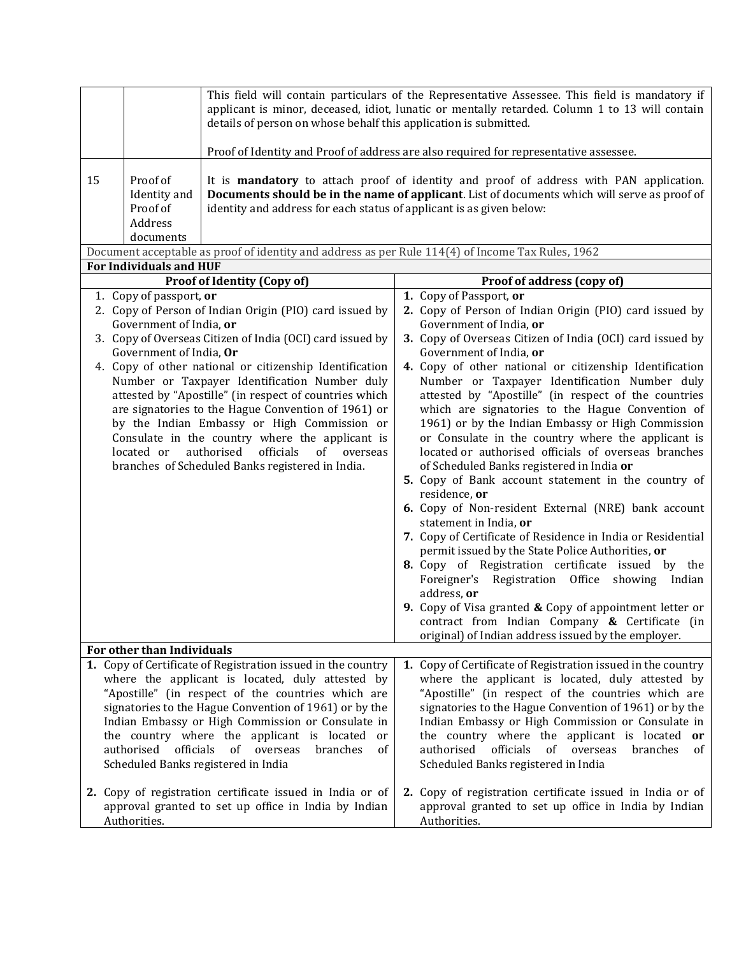|    |                                                                                             | details of person on whose behalf this application is submitted.                                                                                                                                                                                                                                                                                                                                                                                                                                                                                  | This field will contain particulars of the Representative Assessee. This field is mandatory if<br>applicant is minor, deceased, idiot, lunatic or mentally retarded. Column 1 to 13 will contain<br>Proof of Identity and Proof of address are also required for representative assessee.                                                                                                                                                                                                                                                                                                                                                                                                                                                                                                                                                                                                                                                                                                                                                                                                                                                                                                                                  |
|----|---------------------------------------------------------------------------------------------|---------------------------------------------------------------------------------------------------------------------------------------------------------------------------------------------------------------------------------------------------------------------------------------------------------------------------------------------------------------------------------------------------------------------------------------------------------------------------------------------------------------------------------------------------|----------------------------------------------------------------------------------------------------------------------------------------------------------------------------------------------------------------------------------------------------------------------------------------------------------------------------------------------------------------------------------------------------------------------------------------------------------------------------------------------------------------------------------------------------------------------------------------------------------------------------------------------------------------------------------------------------------------------------------------------------------------------------------------------------------------------------------------------------------------------------------------------------------------------------------------------------------------------------------------------------------------------------------------------------------------------------------------------------------------------------------------------------------------------------------------------------------------------------|
| 15 | Proof of<br>Identity and<br>Proof of<br>Address<br>documents                                | identity and address for each status of applicant is as given below:                                                                                                                                                                                                                                                                                                                                                                                                                                                                              | It is <b>mandatory</b> to attach proof of identity and proof of address with PAN application.<br>Documents should be in the name of applicant. List of documents which will serve as proof of                                                                                                                                                                                                                                                                                                                                                                                                                                                                                                                                                                                                                                                                                                                                                                                                                                                                                                                                                                                                                              |
|    |                                                                                             |                                                                                                                                                                                                                                                                                                                                                                                                                                                                                                                                                   | Document acceptable as proof of identity and address as per Rule 114(4) of Income Tax Rules, 1962                                                                                                                                                                                                                                                                                                                                                                                                                                                                                                                                                                                                                                                                                                                                                                                                                                                                                                                                                                                                                                                                                                                          |
|    | <b>For Individuals and HUF</b>                                                              | <b>Proof of Identity (Copy of)</b>                                                                                                                                                                                                                                                                                                                                                                                                                                                                                                                | Proof of address (copy of)                                                                                                                                                                                                                                                                                                                                                                                                                                                                                                                                                                                                                                                                                                                                                                                                                                                                                                                                                                                                                                                                                                                                                                                                 |
|    | 1. Copy of passport, or<br>Government of India, or<br>Government of India, Or<br>located or | 2. Copy of Person of Indian Origin (PIO) card issued by<br>3. Copy of Overseas Citizen of India (OCI) card issued by<br>4. Copy of other national or citizenship Identification<br>Number or Taxpayer Identification Number duly<br>attested by "Apostille" (in respect of countries which<br>are signatories to the Hague Convention of 1961) or<br>by the Indian Embassy or High Commission or<br>Consulate in the country where the applicant is<br>authorised<br>officials<br>of overseas<br>branches of Scheduled Banks registered in India. | 1. Copy of Passport, or<br>2. Copy of Person of Indian Origin (PIO) card issued by<br>Government of India, or<br>3. Copy of Overseas Citizen of India (OCI) card issued by<br>Government of India, or<br>4. Copy of other national or citizenship Identification<br>Number or Taxpayer Identification Number duly<br>attested by "Apostille" (in respect of the countries<br>which are signatories to the Hague Convention of<br>1961) or by the Indian Embassy or High Commission<br>or Consulate in the country where the applicant is<br>located or authorised officials of overseas branches<br>of Scheduled Banks registered in India or<br>5. Copy of Bank account statement in the country of<br>residence, or<br>6. Copy of Non-resident External (NRE) bank account<br>statement in India, or<br>7. Copy of Certificate of Residence in India or Residential<br>permit issued by the State Police Authorities, or<br>8. Copy of Registration certificate issued by the<br>Foreigner's Registration Office showing Indian<br>address, or<br>9. Copy of Visa granted $\&$ Copy of appointment letter or<br>contract from Indian Company $\&$ Certificate (in<br>original) of Indian address issued by the employer. |
|    | For other than Individuals                                                                  |                                                                                                                                                                                                                                                                                                                                                                                                                                                                                                                                                   |                                                                                                                                                                                                                                                                                                                                                                                                                                                                                                                                                                                                                                                                                                                                                                                                                                                                                                                                                                                                                                                                                                                                                                                                                            |
|    | officials<br>authorised                                                                     | 1. Copy of Certificate of Registration issued in the country<br>where the applicant is located, duly attested by<br>"Apostille" (in respect of the countries which are<br>signatories to the Hague Convention of 1961) or by the<br>Indian Embassy or High Commission or Consulate in<br>the country where the applicant is located<br>or<br>of<br>overseas<br>branches<br>of<br>Scheduled Banks registered in India<br>2. Copy of registration certificate issued in India or of                                                                 | 1. Copy of Certificate of Registration issued in the country<br>where the applicant is located, duly attested by<br>"Apostille" (in respect of the countries which are<br>signatories to the Hague Convention of 1961) or by the<br>Indian Embassy or High Commission or Consulate in<br>the country where the applicant is located or<br>authorised<br>officials<br>of overseas<br>branches<br>οf<br>Scheduled Banks registered in India<br>2. Copy of registration certificate issued in India or of                                                                                                                                                                                                                                                                                                                                                                                                                                                                                                                                                                                                                                                                                                                     |
|    | Authorities.                                                                                | approval granted to set up office in India by Indian                                                                                                                                                                                                                                                                                                                                                                                                                                                                                              | approval granted to set up office in India by Indian<br>Authorities.                                                                                                                                                                                                                                                                                                                                                                                                                                                                                                                                                                                                                                                                                                                                                                                                                                                                                                                                                                                                                                                                                                                                                       |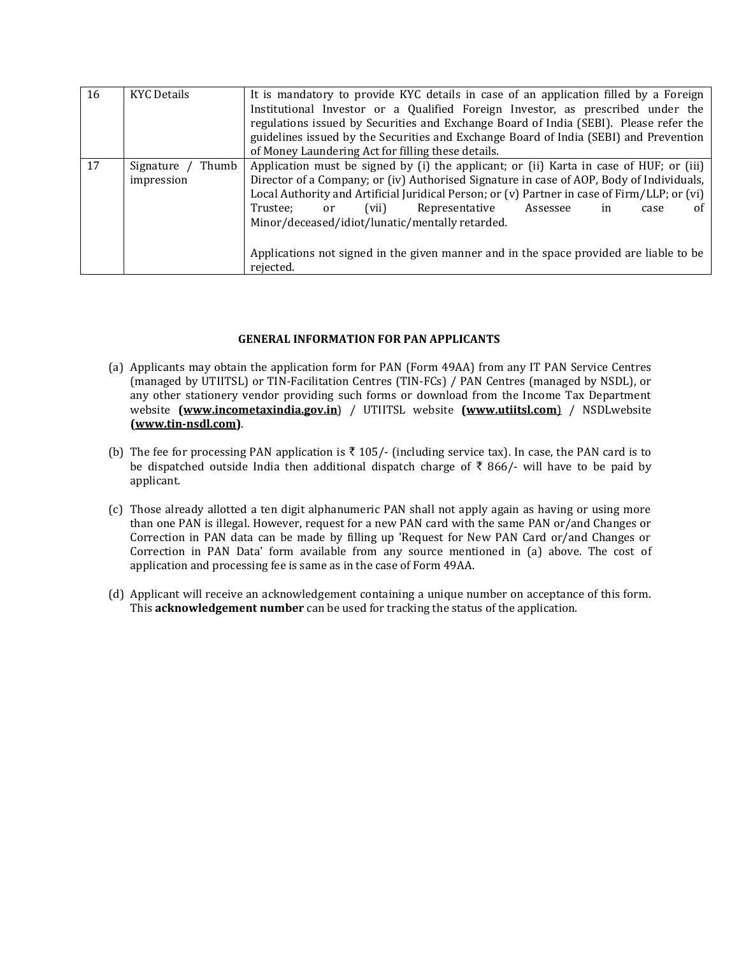| 16 | <b>KYC Details</b>                        | It is mandatory to provide KYC details in case of an application filled by a Foreign<br>Institutional Investor or a Qualified Foreign Investor, as prescribed under the<br>regulations issued by Securities and Exchange Board of India (SEBI). Please refer the<br>guidelines issued by the Securities and Exchange Board of India (SEBI) and Prevention<br>of Money Laundering Act for filling these details.                                                                                                            |
|----|-------------------------------------------|----------------------------------------------------------------------------------------------------------------------------------------------------------------------------------------------------------------------------------------------------------------------------------------------------------------------------------------------------------------------------------------------------------------------------------------------------------------------------------------------------------------------------|
| 17 | Thumb<br>Signature $\prime$<br>impression | Application must be signed by (i) the applicant; or (ii) Karta in case of HUF; or (iii)<br>Director of a Company; or (iv) Authorised Signature in case of AOP, Body of Individuals,<br>Local Authority and Artificial Juridical Person; or (v) Partner in case of Firm/LLP; or (vi)<br>(vii)<br>Representative<br>Trustee:<br>Assessee<br>or<br>in<br>case<br>Ωt<br>Minor/deceased/idiot/lunatic/mentally retarded.<br>Applications not signed in the given manner and in the space provided are liable to be<br>rejected. |

## **GENERAL INFORMATION FOR PAN APPLICANTS**

- (a) Applicants may obtain the application form for PAN (Form 49AA) from any IT PAN Service Centres (managed by UTIITSL) or TIN-Facilitation Centres (TIN-FCs) / PAN Centres (managed by NSDL), or any other stationery vendor providing such forms or download from the Income Tax Department website **[\(www.incometaxindia.gov.in](http://www.incometaxindia.gov.in/)**) / UTIITSL website **[\(www.utiitsl.com](http://www.utiitsl.com)/NSDL)**) / NSDLwebsite **[\(www.tin-nsdl.com\)](http://www.tin-nsdl.com/)**.
- (b) The fee for processing PAN application is  $\bar{\tau}$  105/- (including service tax). In case, the PAN card is to be dispatched outside India then additional dispatch charge of  $\bar{\tau}$  866/- will have to be paid by applicant.
- (c) Those already allotted a ten digit alphanumeric PAN shall not apply again as having or using more than one PAN is illegal. However, request for a new PAN card with the same PAN or/and Changes or Correction in PAN data can be made by filling up 'Request for New PAN Card or/and Changes or Correction in PAN Data' form available from any source mentioned in (a) above. The cost of application and processing fee is same as in the case of Form 49AA.
- (d) Applicant will receive an acknowledgement containing a unique number on acceptance of this form. This **acknowledgement number** can be used for tracking the status of the application.